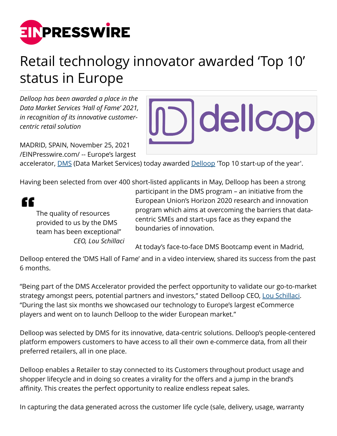

## Retail technology innovator awarded 'Top 10' status in Europe

*Delloop has been awarded a place in the Data Market Services 'Hall of Fame' 2021, in recognition of its innovative customercentric retail solution*

MADRID, SPAIN, November 25, 2021 [/EINPresswire.com/](http://www.einpresswire.com) -- Europe's largest



accelerator, [DMS](http://www.datamarketservices.eu) (Data Market Services) today awarded [Delloop](http://www.delloop.com) 'Top 10 start-up of the year'.

Having been selected from over 400 short-listed applicants in May, Delloop has been a strong

££

The quality of resources provided to us by the DMS team has been exceptional" *CEO, Lou Schillaci* participant in the DMS program – an initiative from the European Union's Horizon 2020 research and innovation program which aims at overcoming the barriers that datacentric SMEs and start-ups face as they expand the boundaries of innovation.

At today's face-to-face DMS Bootcamp event in Madrid,

Delloop entered the 'DMS Hall of Fame' and in a video interview, shared its success from the past 6 months.

"Being part of the DMS Accelerator provided the perfect opportunity to validate our go-to-market strategy amongst peers, potential partners and investors," stated Delloop CEO, [Lou Schillaci.](https://www.linkedin.com/in/louschillaci/) "During the last six months we showcased our technology to Europe's largest eCommerce players and went on to launch Delloop to the wider European market."

Delloop was selected by DMS for its innovative, data-centric solutions. Delloop's people-centered platform empowers customers to have access to all their own e-commerce data, from all their preferred retailers, all in one place.

Delloop enables a Retailer to stay connected to its Customers throughout product usage and shopper lifecycle and in doing so creates a virality for the offers and a jump in the brand's affinity. This creates the perfect opportunity to realize endless repeat sales.

In capturing the data generated across the customer life cycle (sale, delivery, usage, warranty